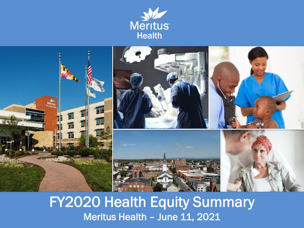



### FY2020 Health Equity Summary Meritus Health – June 11, 2021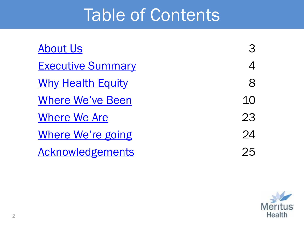## Table of Contents

| <b>About Us</b>          | З  |
|--------------------------|----|
| <b>Executive Summary</b> | 4  |
| <b>Why Health Equity</b> | 8  |
| <b>Where We've Been</b>  | 10 |
| Where We Are             | 23 |
| Where We're going        | 24 |
| Acknowledgements         | 25 |

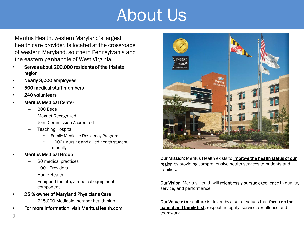## About Us

<span id="page-2-0"></span>Meritus Health, western Maryland's largest health care provider, is located at the crossroads of western Maryland, southern Pennsylvania and the eastern panhandle of West Virginia.

- Serves about 200,000 residents of the tristate region
- Nearly 3,000 employees
- 500 medical staff members
- 240 volunteers
- Meritus Medical Center
	- 300 Beds
	- Magnet Recognized
	- Joint Commission Accredited
	- Teaching Hospital
		- Family Medicine Residency Program
		- 1,000+ nursing and allied health student annually
- Meritus Medical Group
	- 20 medical practices
	- 100+ Providers
	- Home Health
	- Equipped for Life, a medical equipment component
- 25 % owner of Maryland Physicians Care
	- 215,000 Medicaid member health plan
- For more information, visit MeritusHealth.com



Our Mission: Meritus Health exists to improve the health status of our region by providing comprehensive health services to patients and families.

Our Vision: Meritus Health will relentlessly pursue excellence in quality, service, and performance.

Our Values: Our culture is driven by a set of values that focus on the patient and family first: respect, integrity, service, excellence and teamwork.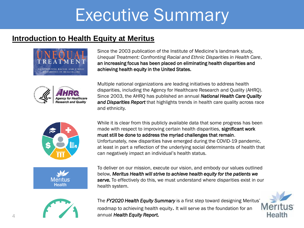### <span id="page-3-0"></span>**Introduction to Health Equity at Meritus**











Since the 2003 publication of the Institute of Medicine's landmark study, *Unequal Treatment: Confronting Racial and Ethnic Disparities in Health Care*, an increasing focus has been placed on eliminating health disparities and achieving health equity in the United States.

Multiple national organizations are leading initiatives to address health disparities, including the Agency for Healthcare Research and Quality (AHRQ). Since 2003, the AHRQ has published an annual *National Health Care Quality and Disparities Report* that highlights trends in health care quality across race and ethnicity.

While it is clear from this publicly available data that some progress has been made with respect to improving certain health disparities, significant work must still be done to address the myriad challenges that remain. Unfortunately, new disparities have emerged during the COVID-19 pandemic, at least in part a reflection of the underlying social determinants of health that can negatively impact an individual's health status.

To deliver on our mission, execute our vision, and embody our values outlined below, *Meritus Health will strive to achieve health equity for the patients we serve.* To effectively do this, we must understand where disparities exist in our health system.

The *FY2020 Health Equity Summary* is a first step toward designing Meritus'<br>roadman to achieving health equity. It will serve as the foundation for an **Meritile** roadmap to achieving health equity. It will serve as the foundation for an annual *Health Equity Report.*

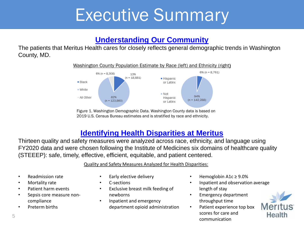### **[Understanding Our Community](#page-8-0)**

The patients that Meritus Health cares for closely reflects general demographic trends in Washington County, MD.



Figure 1. Washington Demographic Data. Washington County data is based on 2019 U.S. Census Bureau estimates and is stratified by race and ethnicity.

### **[Identifying Health Disparities at Meritus](#page-9-0)**

Thirteen quality and safety measures were analyzed across race, ethnicity, and language using FY2020 data and were chosen following the Institute of Medicines six domains of healthcare quality (STEEEP): safe, timely, effective, efficient, equitable, and patient centered.

Quality and Safety Measures Analyzed for Health Disparities:

- Readmission rate
- Mortality rate
- Patient harm events
- Sepsis core measure noncompliance
- Preterm births
- Early elective delivery
- C-sections
- Exclusive breast milk feeding of newborns
- Inpatient and emergency department opioid administration
- Hemoglobin A1c ≥ 9.0%
- Inpatient and observation average length of stay
- Emergency department throughput time
- Patient experience top box scores for care and communication

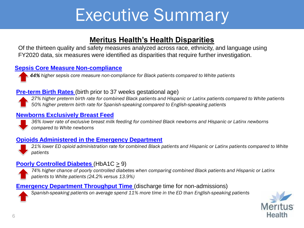### **Meritus Health's Health Disparities**

Of the thirteen quality and safety measures analyzed across race, ethnicity, and language using FY2020 data, six measures were identified as disparities that require further investigation.

### **[Sepsis Core Measure Non-compliance](#page-19-0)**

*44% higher sepsis core measure non-compliance for Black patients compared to White patients*

### **[Pre-term Birth Rates](#page-19-0)** (birth prior to 37 weeks gestational age)



*27% higher preterm birth rate for combined Black patients and Hispanic or Latinx patients compared to White patients 50% higher preterm birth rate for Spanish-speaking compared to English-speaking patients*

#### **[Newborns Exclusively Breast Feed](#page-20-0)**

*36% lower rate of exclusive breast milk feeding for combined Black newborns and Hispanic or Latinx newborns compared to White newborns*

### **[Opioids Administered in the Emergency Department](#page-20-0)**



*21% lower ED opioid administration rate for combined Black patients and Hispanic or Latinx patients compared to White patients*

### **Poorly Controlled Diabetes** (HbA1C  $\geq$  9)

*74% higher chance of poorly controlled diabetes when comparing combined Black patients and Hispanic or Latinx patients to White patients (24.2% versus 13.9%)*

### **[Emergency Department Throughput Time](#page-21-0)** (discharge time for non-admissions)

*Spanish-speaking patients on average spend 11% more time in the ED than English-speaking patients*

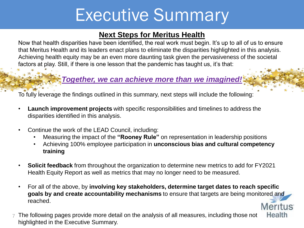### **Next Steps for Meritus Health**

Now that health disparities have been identified, the real work must begin. It's up to all of us to ensure that Meritus Health and its leaders enact plans to eliminate the disparities highlighted in this analysis. Achieving health equity may be an even more daunting task given the pervasiveness of the societal factors at play. Still, if there is one lesson that the pandemic has taught us, it's that:

### *Together, we can achieve more than we imagined!*

To fully leverage the findings outlined in this summary, next steps will include the following:

- **Launch improvement projects** with specific responsibilities and timelines to address the disparities identified in this analysis.
- Continue the work of the LEAD Council, including:
	- Measuring the impact of the **"Rooney Rule"** on representation in leadership positions
	- Achieving 100% employee participation in **unconscious bias and cultural competency training**
- **Solicit feedback** from throughout the organization to determine new metrics to add for FY2021 Health Equity Report as well as metrics that may no longer need to be measured.
- For all of the above, by **involving key stakeholders, determine target dates to reach specific goals by and create accountability mechanisms** to ensure that targets are being monitored and reached. **Meritus**
- Health The following pages provide more detail on the analysis of all measures, including those not 7 highlighted in the Executive Summary.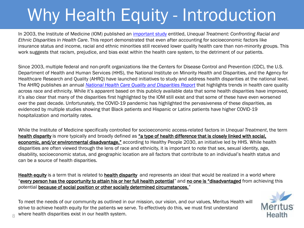# <span id="page-7-0"></span>Why Health Equity - Introduction

In 2003, the Institute of Medicine (IOM) published an [important study](https://www.ncbi.nlm.nih.gov/books/NBK220358/) entitled, *Unequal Treatment: Confronting Racial and Ethnic Disparities in Health Care*. This report demonstrated that even after accounting for socioeconomic factors like insurance status and income, racial and ethnic minorities still received lower quality health care than non-minority groups. This work suggests that racism, prejudice, and bias exist within the health care system, to the detriment of our patients.

Since 2003, multiple federal and non-profit organizations like the Centers for Disease Control and Prevention (CDC), the U.S. Department of Health and Human Services (HHS), the National Institute on Minority Health and Disparities, and the Agency for Healthcare Research and Quality (AHRQ) have launched initiatives to study and address health disparities at the national level. The AHRQ publishes an annual *[National Health Care Quality and Disparities Report](https://www.ahrq.gov/research/findings/nhqrdr/nhqdr19/index.html)* that highlights trends in health care quality across race and ethnicity. While it's apparent based on this publicly available data that some health disparities have improved, it's also clear that many of the disparities first highlighted by the IOM still exist and that some of these have even worsened over the past decade. Unfortunately, the COVID-19 pandemic has highlighted the pervasiveness of these disparities, as evidenced by multiple studies showing that Black patients and Hispanic or Latinx patients have higher COVID-19 hospitalization and mortality rates.

While the Institute of Medicine specifically controlled for socioeconomic access-related factors in *Unequal Treatment*, the term health disparity is more typically and broadly defined as "a type of health difference that is closely linked with social, economic, and/or environmental disadvantage," according to Healthy People 2030, an initiative led by HHS. While health disparities are often viewed through the lens of race and ethnicity, it is important to note that sex, sexual identity, age, disability, socioeconomic status, and geographic location are all factors that contribute to an individual's health status and can be a source of health disparities.

Health equity is a term that is related to health disparity and represents an ideal that would be realized in a world where "every person has the opportunity to attain his or her full health potential" and no one is "disadvantaged from achieving this potential **because of social position or other socially determined circumstances.**"

To meet the needs of our community as outlined in our mission, our vision, and our values, Meritus Health will strive to achieve health equity for the patients we serve. To effectively do this, we must first understand where health disparities exist in our health system.

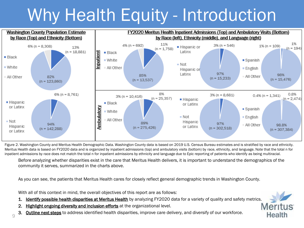# Why Health Equity - Introduction

<span id="page-8-0"></span>

Figure 2. Washington County and Meritus Health Demographic Data. Washington County data is based on 2019 U.S. Census Bureau estimates and is stratified by race and ethnicity. Meritus Health data is based on FY2020 data and is organized by inpatient admissions (top) and ambulatory visits (bottom) by race, ethnicity, and language. Note that the total n for inpatient admissions by race does not match the total n for inpatient admissions by ethnicity and language due to Epic reporting of patients who identify as being multiracial.

Before analyzing whether disparities exist in the care that Meritus Health delivers, it is important to understand the demographics of the community it serves, summarized in the charts above.

As you can see, the patients that Meritus Health cares for closely reflect general demographic trends in Washington County.

With all of this context in mind, the overall objectives of this report are as follows:

- 1. Identify possible health disparities at Meritus Health by analyzing FY2020 data for a variety of quality and safety metrics.
- 2. Highlight ongoing diversity and inclusion efforts at the organizational level.
- **Outline next steps** to address identified health disparities, improve care delivery, and diversify of our workforce.

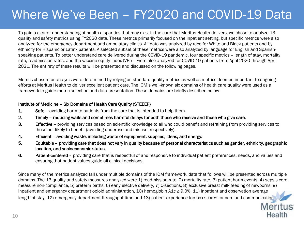### <span id="page-9-0"></span>Where We've Been – FY2020 and COVID-19 Data

To gain a clearer understanding of health disparities that may exist in the care that Meritus Health delivers, we chose to analyze 13 quality and safety metrics using FY2020 data. These metrics primarily focused on the inpatient setting, but specific metrics were also analyzed for the emergency department and ambulatory clinics. All data was analyzed by race for White and Black patients and by ethnicity for Hispanic or Latinx patients. A selected subset of these metrics were also analyzed by language for English and Spanishspeaking patients. To better understand care delivered during the COVID-19 pandemic, four specific metrics – length of stay, mortality rate, readmission rates, and the vaccine equity index (VEI) – were also analyzed for COVID-19 patients from April 2020 through April 2021. The entirety of these results will be presented and discussed on the following pages.

Metrics chosen for analysis were determined by relying on standard quality metrics as well as metrics deemed important to ongoing efforts at Meritus Health to deliver excellent patient care. The IOM's well-known six domains of health care quality were used as a framework to guide metric selection and data presentation. These domains are briefly described below.

#### Institute of Medicine – Six Domains of Health Care Quality (STEEEP)

- **1.** Safe avoiding harm to patients from the care that is intended to help them.
- 2. Timely reducing waits and sometimes harmful delays for both those who receive and those who give care.
- 3. Effective providing services based on scientific knowledge to all who could benefit and refraining from providing services to those not likely to benefit (avoiding underuse and misuse, respectively).
- 4. Efficient avoiding waste, including waste of equipment, supplies, ideas, and energy.
- 5. Equitable providing care that does not vary in quality because of personal characteristics such as gender, ethnicity, geographic location, and socioeconomic status.
- 6. Patient-centered providing care that is respectful of and responsive to individual patient preferences, needs, and values and ensuring that patient values guide all clinical decisions.

Since many of the metrics analyzed fall under multiple domains of the IOM framework, data that follows will be presented across multiple domains. The 13 quality and safety measures analyzed were 1) readmission rate, 2) mortality rate, 3) patient harm events, 4) sepsis core measure non-compliance, 5) preterm births, 6) early elective delivery, 7) C-sections, 8) exclusive breast milk feeding of newborns, 9) inpatient and emergency department opioid administration, 10) hemoglobin  $A1c \ge 9.0\%$ , 11) inpatient and observation average length of stay, 12) emergency department throughput time and 13) patient experience top box scores for care and communication.

> **Meritus** Health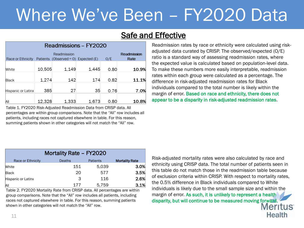### **Safe and Effective**

| Readmissions - FY2020 |        |             |                                         |      |                     |  |  |  |
|-----------------------|--------|-------------|-----------------------------------------|------|---------------------|--|--|--|
| Race or Ethnicity     |        | Readmission | Patients (Observed = $O$ ) Expected (E) | O/E  | Readmission<br>Rate |  |  |  |
| White                 | 10,505 | 1.149       | 1.445                                   | 0.80 | 10.9%               |  |  |  |
| Black                 | 1,274  | 142         | 174                                     | 0.82 | 11.1%               |  |  |  |
| Hispanic or Latinx    | 385    | 27          | 35                                      | 0.76 | 7.0%                |  |  |  |
| ΆIΙ                   | 12.328 | 1,333       | 1.673                                   | 0.80 | 10.8%               |  |  |  |

Table 1. FY2020 Risk-Adjusted Readmission Data from CRISP data. All percentages are within group comparisons. Note that the "All" row includes all patients, including races not captured elsewhere in table. For this reason, summing patients shown in other categories will not match the "All" row.

Readmission rates by race or ethnicity were calculated using riskadjusted data curated by CRISP. The observed/expected (O/E) ratio is a standard way of assessing readmission rates, where the expected value is calculated based on population-level data. To make these numbers more easily interpretable, readmission rates within each group were calculated as a percentage. The difference in risk-adjusted readmission rates for Black individuals compared to the total number is likely within the margin of error. Based on race and ethnicity, there does not appear to be a disparity in risk-adjusted readmission rates.

| Mortality Rate - FY2020 |        |                 |                       |  |  |  |
|-------------------------|--------|-----------------|-----------------------|--|--|--|
| Race or Ethnicity       | Deaths | <b>Patients</b> | <b>Mortality Rate</b> |  |  |  |
| <b>White</b>            | 151    | 5,039           | 3.0%                  |  |  |  |
| <b>Black</b>            | 20     | 577             | 3.5%                  |  |  |  |
| Hispanic or Latinx      | 3      | 116             | 2.6%                  |  |  |  |
| All                     | 177    | 5,759           | 3.1%                  |  |  |  |

Table 2. FY2020 Mortality Rate from CRISP data. All percentages are within group comparisons. Note that the "All" row includes all patients, including races not captured elsewhere in table. For this reason, summing patients shown in other categories will not match the "All" row.

Risk-adjusted mortality rates were also calculated by race and ethnicity using CRISP data. The total number of patients seen in this table do not match those in the readmission table because of exclusion criteria within CRISP. With respect to mortality rates, the 0.5% difference in Black individuals compared to White individuals is likely due to the small sample size and within the margin of error. As such, it is unlikely to represent a health disparity, but will continue to be measured moving forward. **Meritus** 

Health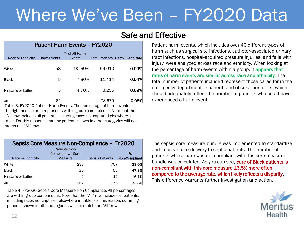### **Safe and Effective**

#### Patient Harm Events – FY2020

| Race or Ethnicity         | <b>Harm Events</b> | % of All Harm<br>Events |        | <b>Total Patients Harm Event Rate</b> |
|---------------------------|--------------------|-------------------------|--------|---------------------------------------|
| White                     | 58                 | 90.60%                  | 64,010 | 0.09%                                 |
| <b>Black</b>              | 5                  | 7.80%                   | 11,414 | 0.04%                                 |
| <b>Hispanic or Latinx</b> | 3                  | 4.70%                   | 3,255  | 0.09%                                 |
| All                       | 64                 |                         | 78.679 | 0.08%                                 |

Table 3. FY2020 Patient Harm Events. The percentage of harm events in the rightmost column represents within group comparisons. Note that the "All" row includes all patients, including races not captured elsewhere in table. For this reason, summing patients shown in other categories will not match the "All" row.

Patient harm events, which includes over 40 different types of harm such as surgical site infections, catheter-associated urinary tract infections, hospital-acquired pressure injuries, and falls with injury, were analyzed across race and ethnicity. When looking at the percentage of harm events within a group, it appears that rates of harm events are similar across race and ethnicity. The total number of patients included represent those cared for in the emergency department, inpatient, and observation units, which should adequately reflect the number of patients who could have experienced a harm event.

| Sepsis Core Measure Non-Compliance - FY2020 |                      |                        |               |  |  |  |
|---------------------------------------------|----------------------|------------------------|---------------|--|--|--|
|                                             | <b>Patients Non-</b> |                        |               |  |  |  |
|                                             | Compliant w/ Core    |                        | %             |  |  |  |
| Race or Ethnicity                           | <b>Measure</b>       | <b>Sepsis Patients</b> | Non-Compliant |  |  |  |
| White                                       | 233                  | 707                    | 33.0%         |  |  |  |
| Black                                       | 26                   | 55                     | 47.3%         |  |  |  |
| Hispanic or Latinx                          | 2                    | 12                     | 16.7%         |  |  |  |
| All                                         | 262                  | 776                    | 33.8%         |  |  |  |

Table 4. FY2020 Sepsis Core Measure Non-Compliance. All percentages are within group comparisons. Note that the "All" row includes all patients, including races not captured elsewhere in table. For this reason, summing patients shown in other categories will not match the "All" row.

The sepsis core measure bundle was implemented to standardize and improve care delivery to septic patients. The number of patients whose care was not compliant with this core measure bundle was calculated. As you can see, care of Black patients is non-compliant with this core measure 13.5% more often compared to the average rate, which likely reflects a disparity. This difference warrants further investigation and action.

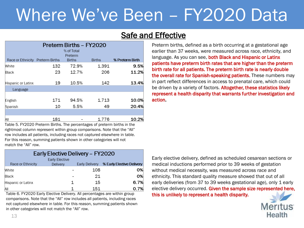### **Safe and Effective**

| Preterm Births - FY2020          |     |               |               |                 |  |  |
|----------------------------------|-----|---------------|---------------|-----------------|--|--|
|                                  |     | % of Total    |               |                 |  |  |
|                                  |     | Preterm       |               |                 |  |  |
| Race or Ethnicity Preterm Births |     | <b>Births</b> | <b>Births</b> | % Preterm Birth |  |  |
| <b>White</b>                     | 132 | 72.9%         | 1,391         | 9.5%            |  |  |
| Black                            | 23  | 12.7%         | 206           | 11.2%           |  |  |
| Hispanic or Latinx               | 19  | 10.5%         | 142           | 13.4%           |  |  |
| Language                         |     |               |               |                 |  |  |
|                                  |     |               |               |                 |  |  |
| English                          | 171 | 94.5%         | 1,713         | 10.0%           |  |  |
| Spanish                          | 10  | 5.5%          | 49            | 20.4%           |  |  |
|                                  |     |               |               |                 |  |  |
| AII                              | 181 |               | 1,776         | 10.2%           |  |  |

Table 5. FY2020 Preterm Births. The percentages of preterm births in the rightmost column represent within group comparisons. Note that the "All" row includes all patients, including races not captured elsewhere in table. For this reason, summing patients shown in other categories will not match the "All" row.

| Early Elective Delivery - FY2020 |                       |                |                           |  |  |  |
|----------------------------------|-----------------------|----------------|---------------------------|--|--|--|
|                                  | <b>Early Elective</b> |                |                           |  |  |  |
| Race or Ethnicity                | Delivery              | Early Delivery | % Early Elective Delivery |  |  |  |
| White                            |                       | 108            | 0%                        |  |  |  |
| Black                            |                       | 21             | 0%                        |  |  |  |
| Hispanic or Latinx               | 1                     | 15             | 6.7%                      |  |  |  |
| All                              |                       | 151            | 0.7%                      |  |  |  |

Table 6. FY2020 Early Elective Delivery. All percentages are within group this is unlikely to represent a health disparity. comparisons. Note that the "All" row includes all patients, including races not captured elsewhere in table. For this reason, summing patients shown in other categories will not match the "All" row.

Preterm births, defined as a birth occurring at a gestational age earlier than 37 weeks, were measured across race, ethnicity, and language. As you can see, both Black and Hispanic or Latinx patients have preterm birth rates that are higher than the preterm birth rate for all patients. The preterm birth rate is nearly double the overall rate for Spanish-speaking patients. These numbers may in part reflect differences in access to prenatal care, which could be driven by a variety of factors. Altogether, these statistics likely represent a health disparity that warrants further investigation and action.

Early elective delivery, defined as scheduled cesarean sections or medical inductions performed prior to 39 weeks of gestation without medical necessity, was measured across race and ethnicity. This standard quality measure showed that out of all early deliveries (from 37 to 39 weeks gestational age), only 1 early elective delivery occurred. Given the sample size represented here,

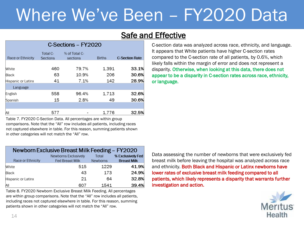### **Safe and Effective**

| C-Sections - FY2020 |                             |                           |               |                       |  |  |
|---------------------|-----------------------------|---------------------------|---------------|-----------------------|--|--|
| Race or Ethnicity   | Total C-<br><b>Sections</b> | % of Total C-<br>sections | <b>Births</b> | <b>C-Section Rate</b> |  |  |
| White               | 460                         | 79.7%                     | 1,391         | 33.1%                 |  |  |
| Black               | 63                          | 10.9%                     | 206           | 30.6%                 |  |  |
| Hispanic or Latinx  | 41                          | 7.1%                      | 142           | 28.9%                 |  |  |
| Language            |                             |                           |               |                       |  |  |
| English             | 558                         | 96.4%                     | 1,713         | 32.6%                 |  |  |
| Spanish             | 15                          | 2.8%                      | 49            | 30.6%                 |  |  |
|                     |                             |                           |               |                       |  |  |
| AII                 | 577                         |                           | 1.776         | 32.5%                 |  |  |

Table 7. FY2020 C-Section Data. All percentages are within group comparisons. Note that the "All" row includes all patients, including races not captured elsewhere in table. For this reason, summing patients shown in other categories will not match the "All" row.

| Newborn Exclusive Breast Milk Feeding - FY2020 |                                                |                          |                                         |  |  |  |
|------------------------------------------------|------------------------------------------------|--------------------------|-----------------------------------------|--|--|--|
| Race or Ethnicity                              | Newborns Exclusively<br><b>Fed Breast Milk</b> | Total<br><b>Newborns</b> | % Exclusively Fed<br><b>Breast Milk</b> |  |  |  |
| White                                          | 515                                            | 1229                     | 41.9%                                   |  |  |  |
| Black                                          | 43                                             | 173                      | 24.9%                                   |  |  |  |
| Hispanic or Latinx                             | 21                                             | 64                       | 32.8%                                   |  |  |  |
| AII                                            | 607                                            | 1541                     | 39.4%                                   |  |  |  |

Table 8. FY2020 Newborn Exclusive Breast Milk Feeding. All percentages are within group comparisons. Note that the "All" row includes all patients, including races not captured elsewhere in table. For this reason, summing patients shown in other categories will not match the "All" row.

C-section data was analyzed across race, ethnicity, and language. It appears that White patients have higher C-section rates compared to the C-section rate of all patients, by 0.6%, which likely falls within the margin of error and does not represent a disparity. Otherwise, when looking at this data, there does not appear to be a disparity in C-section rates across race, ethnicity, or language.

Data assessing the number of newborns that were exclusively fed breast milk before leaving the hospital was analyzed across race and ethnicity. Both Black and Hispanic or Latinx newborns have lower rates of exclusive breast milk feeding compared to all patients, which likely represents a disparity that warrants further investigation and action.

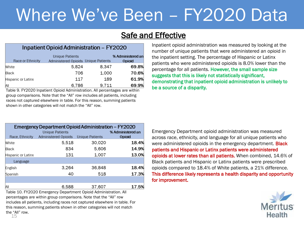### **Safe and Effective**

#### Inpatient Opioid Administration - FY2020

| Race or Ethnicity  | <b>Unique Patients</b><br>Administered Opioids Unique Patients |       | % Administered an<br><b>Opioid</b> |
|--------------------|----------------------------------------------------------------|-------|------------------------------------|
| White              | 5.824                                                          | 8.347 | 69.8%                              |
| Black              | 706                                                            | 1.000 | 70.6%                              |
| Hispanic or Latinx | 117                                                            | 189   | 61.9%                              |
| All                | 6.786                                                          | 9.711 | 69.9%                              |

Table 9. FY2020 Inpatient Opioid Administration. All percentages are within group comparisons. Note that the "All" row includes all patients, including races not captured elsewhere in table. For this reason, summing patients shown in other categories will not match the "All" row.

Inpatient opioid administration was measured by looking at the number of unique patients that were administered an opioid in the inpatient setting. The percentage of Hispanic or Latinx patients who were administered opioids is 8.0% lower than the percentage for all patients. However, the small sample size suggests that this is likely not statistically significant, demonstrating that inpatient opioid administration is unlikely to be a source of a disparity.

| Emergency Department Opioid Administration - FY2020<br><b>Unique Patients</b><br>% Administered an |                             |                        |        |  |  |  |
|----------------------------------------------------------------------------------------------------|-----------------------------|------------------------|--------|--|--|--|
| Race, Ethnicity                                                                                    | <b>Administered Opioids</b> | <b>Unique Patients</b> | Opioid |  |  |  |
| White                                                                                              | 5,518                       | 30,020                 | 18.4%  |  |  |  |
| Black                                                                                              | 834                         | 5,606                  | 14.9%  |  |  |  |
| <b>Hispanic or Latinx</b>                                                                          | 131                         | 1,007                  | 13.0%  |  |  |  |
| Language                                                                                           |                             |                        |        |  |  |  |
| English                                                                                            | 3,264                       | 36,848                 | 18.4%  |  |  |  |
| Spanish                                                                                            | 40                          | 518                    | 17.3%  |  |  |  |
|                                                                                                    |                             |                        |        |  |  |  |
| AII                                                                                                | 6,588                       | 37,607                 | 17.5%  |  |  |  |

Table 10. FY2020 Emergency Department Opioid Administration. All percentages are within group comparisons. Note that the "All" row includes all patients, including races not captured elsewhere in table. For this reason, summing patients shown in other categories will not match the "All" row.

Emergency Department opioid administration was measured across race, ethnicity, and language for all unique patients who were administered opioids in the emergency department. **Black** patients and Hispanic or Latinx patients were administered opioids at lower rates than all patients. When combined, 14.6% of Black patients and Hispanic or Latinx patients were prescribed opioids compared to 18.4% of White patients, a 21% difference. This difference likely represents a health disparity and opportunity for improvement.



15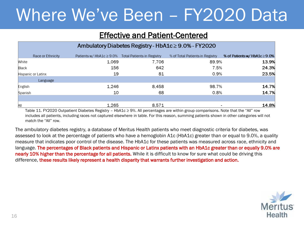### Effective and Patient-Centered

| Ambulatory Diabetes Registry - HbA1c ≥ 9.0% - FY2020 |                                                         |       |                                 |                                   |  |  |
|------------------------------------------------------|---------------------------------------------------------|-------|---------------------------------|-----------------------------------|--|--|
| Race or Ethnicity                                    | Patients w/HbA1c $\geq$ 9.0% Total Patients in Registry |       | % of Total Patients in Registry | % of Patients w/HbA1c $\geq$ 9.0% |  |  |
| White                                                | 1,069                                                   | 7,706 | 89.9%                           | 13.9%                             |  |  |
| Black                                                | 156                                                     | 642   | 7.5%                            | 24.3%                             |  |  |
| Hispanic or Latinx                                   | 19                                                      | 81    | 0.9%                            | 23.5%                             |  |  |
| Language                                             |                                                         |       |                                 |                                   |  |  |
| English                                              | 1,246                                                   | 8,458 | 98.7%                           | 14.7%                             |  |  |
| Spanish                                              | 10                                                      | 68    | 0.8%                            | 14.7%                             |  |  |
|                                                      |                                                         |       |                                 |                                   |  |  |
| All                                                  | 1,265                                                   | 8,571 | $\overline{\phantom{0}}$        | 14.8%                             |  |  |

Table 11. FY2020 Outpatient Diabetes Registry – HbA1c ≥ 9%. All percentages are within group comparisons. Note that the "All" row includes all patients, including races not captured elsewhere in table. For this reason, summing patients shown in other categories will not match the "All" row.

The ambulatory diabetes registry, a database of Meritus Health patients who meet diagnostic criteria for diabetes, was assessed to look at the percentage of patients who have a hemoglobin A1c (HbA1c) greater than or equal to 9.0%, a quality measure that indicates poor control of the disease. The HbA1c for these patients was measured across race, ethnicity and language. The percentages of Black patients and Hispanic or Latinx patients with an HbA1c greater than or equally 9.0% are nearly 10% higher than the percentage for all patients. While it is difficult to know for sure what could be driving this difference, these results likely represent a health disparity that warrants further investigation and action.

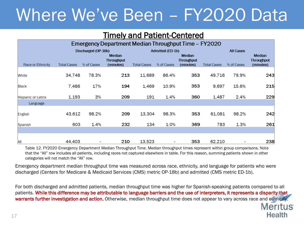### Timely and Patient-Centered

| Emergency Department Median Throughput Time - FY2020 |                    |                                   |                                          |                    |                                |                                                 |                    |                                |                                                 |
|------------------------------------------------------|--------------------|-----------------------------------|------------------------------------------|--------------------|--------------------------------|-------------------------------------------------|--------------------|--------------------------------|-------------------------------------------------|
| Race or Ethnicity                                    | <b>Total Cases</b> | Discharged (OP-18b)<br>% of Cases | <b>Median</b><br>Throughput<br>(minutes) | <b>Total Cases</b> | Admitted (ED-1b)<br>% of Cases | <b>Median</b><br><b>Throughput</b><br>(minutes) | <b>Total Cases</b> | <b>All Cases</b><br>% of Cases | <b>Median</b><br><b>Throughput</b><br>(minutes) |
| White                                                | 34,748             | 78.3%                             | 213                                      | 11,689             | 86.4%                          | 353                                             | 49,716             | 79.9%                          | 243                                             |
| Black                                                | 7,486              | 17%                               | 194                                      | 1,469              | 10.9%                          | 353                                             | 9,697              | 15.6%                          | 215                                             |
| Hispanic or Latinx                                   | 1,193              | 3%                                | 209                                      | 191                | 1.4%                           | 360                                             | 1,487              | 2.4%                           | 229                                             |
| Language                                             |                    |                                   |                                          |                    |                                |                                                 |                    |                                |                                                 |
| English                                              | 43,612             | 98.2%                             | 209                                      | 13,304             | 98.3%                          | 353                                             | 61,081             | 98.2%                          | 242                                             |
| Spanish                                              | 603                | 1.4%                              | 232                                      | 134                | 1.0%                           | 369                                             | 783                | 1.3%                           | 261                                             |
| All                                                  | 44,403             |                                   | 210                                      | 13,523             | $\overline{\phantom{a}}$       | 353                                             | 62,210             |                                | 238                                             |

Table 12. FY2020 Emergency Department Median Throughput Time. Median throughput times represent within group comparisons. Note that the "All" row includes all patients, including races not captured elsewhere in table. For this reason, summing patients shown in other categories will not match the "All" row.

Emergency department median throughput time was measured across race, ethnicity, and language for patients who were discharged (Centers for Medicare & Medicaid Services (CMS) metric OP-18b) and admitted (CMS metric ED-1b).

For both discharged and admitted patients, median throughput time was higher for Spanish-speaking patients compared to all patients. While this difference may be attributable to language barriers and the use of interpreters, it represents a disparity that warrants further investigation and action. Otherwise, median throughput time does not appear to vary across race and ethnicity.

> **Meritus** Health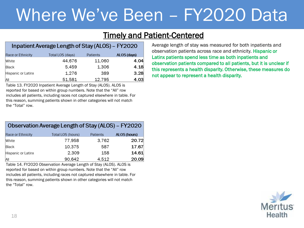### Timely and Patient-Centered

| Inpatient Average Length of Stay (ALOS) - FY2020 |                  |          |             |  |  |  |  |
|--------------------------------------------------|------------------|----------|-------------|--|--|--|--|
| Race or Ethnicity                                | Total LOS (days) | Patients | ALOS (days) |  |  |  |  |
| White                                            | 44,676           | 11,060   | 4.04        |  |  |  |  |
| Black                                            | 5.459            | 1,306    | 4.18        |  |  |  |  |
| Hispanic or Latinx                               | 1,276            | 389      | 3.28        |  |  |  |  |
| All                                              | 51,581           | 12,795   | 4.03        |  |  |  |  |

Table 13. FY2020 Inpatient Average Length of Stay (ALOS). ALOS is reported for based on within group numbers. Note that the "All" row includes all patients, including races not captured elsewhere in table. For this reason, summing patients shown in other categories will not match the "Total" row.

| Observation Average Length of Stay (ALOS) – FY2020 |                   |          |              |  |  |  |  |
|----------------------------------------------------|-------------------|----------|--------------|--|--|--|--|
| Race or Ethnicity                                  | Total LOS (hours) | Patients | ALOS (hours) |  |  |  |  |
| White                                              | 77.958            | 3,762    | 20.72        |  |  |  |  |
| Black                                              | 10,375            | 587      | 17.67        |  |  |  |  |
| Hispanic or Latinx                                 | 2,309             | 158      | 14.61        |  |  |  |  |
| All                                                | 90,642            | 4,512    | 20.09        |  |  |  |  |

Table 14. FY2020 Observation Average Length of Stay (ALOS). ALOS is reported for based on within group numbers. Note that the "All" row includes all patients, including races not captured elsewhere in table. For this reason, summing patients shown in other categories will not match the "Total" row.

Average length of stay was measured for both inpatients and observation patients across race and ethnicity. Hispanic or Latinx patients spend less time as both inpatients and observation patients compared to all patients, but it is unclear if this represents a health disparity. Otherwise, these measures do not appear to represent a health disparity.

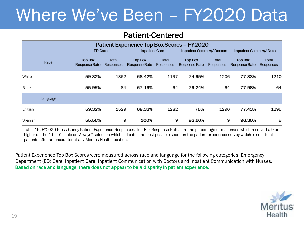### Patient-Centered

| Patient Experience Top Box Scores - FY2020 |          |                                        |                    |                                 |                    |                                 |                    |                                        |                    |
|--------------------------------------------|----------|----------------------------------------|--------------------|---------------------------------|--------------------|---------------------------------|--------------------|----------------------------------------|--------------------|
|                                            |          | <b>ED Care</b>                         |                    | <b>Inpatient Care</b>           |                    | Inpatient Comm. w/ Doctors      |                    | Inpatient Comm. w/ Nurse               |                    |
|                                            | Race     | <b>Top Box</b><br><b>Response Rate</b> | Total<br>Responses | <b>Top Box</b><br>Response Rate | Total<br>Responses | <b>Top Box</b><br>Response Rate | Total<br>Responses | <b>Top Box</b><br><b>Response Rate</b> | Total<br>Responses |
| White                                      |          | 59.32%                                 | 1362               | 68.42%                          | 1197               | 74.95%                          | 1206               | 77.33%                                 | 1210               |
| Black                                      |          | 55.95%                                 | 84                 | 67.19%                          | 64                 | 79.24%                          | 64                 | 77.98%                                 | 64                 |
|                                            | Language |                                        |                    |                                 |                    |                                 |                    |                                        |                    |
| English                                    |          | 59.32%                                 | 1529               | 68.33%                          | 1282               | 75%                             | 1290               | 77.43%                                 | 1295               |
| Spanish                                    |          | 55.56%                                 | 9                  | 100%                            | 9                  | 92.60%                          | 9                  | 96.30%                                 | 9                  |

Table 15. FY2020 Press Ganey Patient Experience Responses. Top Box Response Rates are the percentage of responses which received a 9 or higher on the 1 to 10 scale or "Always" selection which indicates the best possible score on the patient experience survey which is sent to all patients after an encounter at any Meritus Health location.

Patient Experience Top Box Scores were measured across race and language for the following categories: Emergency Department (ED) Care, Inpatient Care, Inpatient Communication with Doctors and Inpatient Communication with Nurses. Based on race and language, there does not appear to be a disparity in patient experience.

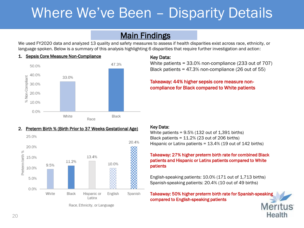## <span id="page-19-0"></span>Where We've Been – Disparity Details

### **Main Findings**

We used FY2020 data and analyzed 13 quality and safety measures to assess if health disparities exist across race, ethnicity, or language spoken. Below is a summary of this analysis highlighting 6 disparities that require further investigation and action:





#### 2. Preterm Birth % (Birth Prior to 37 Weeks Gestational Age)



#### Key Data:

White patients = 33.0% non-compliance (233 out of 707) Black patients = 47.3% non-compliance (26 out of 55)

#### Takeaway: 44% higher sepsis core measure noncompliance for Black compared to White patients

#### Key Data:

White patients =  $9.5\%$  (132 out of 1,391 births) Black patients = 11.2% (23 out of 206 births) Hispanic or Latinx patients = 13.4% (19 out of 142 births)

#### Takeaway: 27% higher preterm birth rate for combined Black patients and Hispanic or Latinx patients compared to White patients

English-speaking patients: 10.0% (171 out of 1,713 births) Spanish-speaking patients: 20.4% (10 out of 49 births)

Takeaway: 50% higher preterm birth rate for Spanish-speaking compared to English-speaking patients

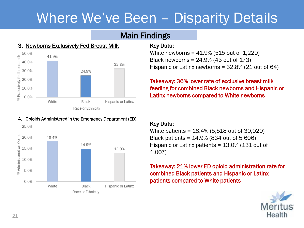## <span id="page-20-0"></span>Where We've Been – Disparity Details

### **Main Findings**

### 3. Newborns Exclusively Fed Breast Milk



4. Opioids Administered in the Emergency Department (ED)

#### Key Data:

White newborns = 41.9% (515 out of 1,229) Black newborns = 24.9% (43 out of 173) Hispanic or Latinx newborns = 32.8% (21 out of 64)

### Takeaway: 36% lower rate of exclusive breast milk feeding for combined Black newborns and Hispanic or Latinx newborns compared to White newborns



### Key Data:

White patients = 18.4% (5,518 out of 30,020) Black patients = 14.9% (834 out of 5,606) Hispanic or Latinx patients = 13.0% (131 out of 1,007)

Takeaway: 21% lower ED opioid administration rate for combined Black patients and Hispanic or Latinx patients compared to White patients

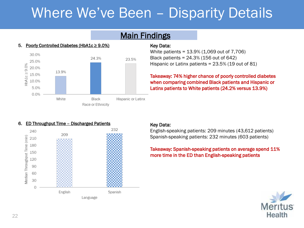## <span id="page-21-0"></span>Where We've Been – Disparity Details

### **Main Findings**



#### 5. Poorly Controlled Diabetes (HbA1c ≥ 9.0%)

Key Data:

White patients = 13.9% (1,069 out of 7,706) Black patients = 24.3% (156 out of 642) Hispanic or Latinx patients = 23.5% (19 out of 81)

Takeaway: 74% higher chance of poorly controlled diabetes when comparing combined Black patients and Hispanic or Latinx patients to White patients (24.2% versus 13.9%)

#### 6. ED Throughput Time – Discharged Patients



#### Key Data:

English-speaking patients: 209 minutes (43,612 patients) Spanish-speaking patients: 232 minutes (603 patients)

#### Takeaway: Spanish-speaking patients on average spend 11% more time in the ED than English-speaking patients

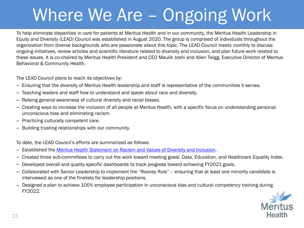# <span id="page-22-0"></span>Where We Are – Ongoing Work

To help eliminate disparities in care for patients at Meritus Health and in our community, the Meritus Health Leadership in Equity and Diversity (LEAD) Council was established in August 2020. The group is comprised of individuals throughout the organization from diverse backgrounds who are passionate about this topic. The LEAD Council meets monthly to discuss ongoing initiatives, review articles and scientific literature related to diversity and inclusion, and plan future work related to these issues. It is co-chaired by Meritus Health President and CEO Maulik Joshi and Allen Twigg, Executive Director of Meritus Behavioral & Community Health.

The LEAD Council plans to reach its objectives by:

- Ensuring that the diversity of Meritus Health leadership and staff is representative of the communities it serves.
- Teaching leaders and staff how to understand and speak about race and diversity.
- Raising general awareness of cultural diversity and racial biases.
- Creating ways to increase the inclusion of all people at Meritus Health, with a specific focus on understanding personal unconscious bias and eliminating racism.
- Practicing culturally competent care.
- Building trusting relationships with our community.

To date, the LEAD Council's efforts are summarized as follows:

- Established the [Meritus Health Statement on Racism and Values of Diversity and Inclusion](https://www.meritushealth.com/about-us/statement-on-diversity/#:~:text=Meritus%20Health%20Statement%20on%20Racism%20and%20Values%20of,all%20persons%20will%20be%20treated%20equally%20and%20respectfully.).
- Created three sub-committees to carry out the work toward meeting goals: Data, Education, and Healthcare Equality Index.
- Developed overall and quality-specific dashboards to track progress toward achieving FY2021 goals.
- Collaborated with Senior Leadership to implement the "Rooney Rule" ensuring that at least one minority candidate is interviewed as one of the finalists for leadership positions.
- Designed a plan to achieve 100% employee participation in unconscious bias and cultural competency training during FY2022.

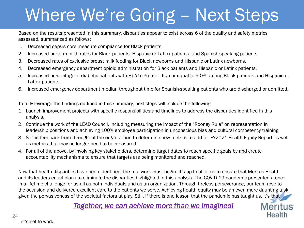# <span id="page-23-0"></span>Where We're Going – Next Steps

Based on the results presented in this summary, disparities appear to exist across 6 of the quality and safety metrics assessed, summarized as follows:

- 1. Decreased sepsis core measure compliance for Black patients.
- 2. Increased preterm birth rates for Black patients, Hispanic or Latinx patients, and Spanish-speaking patients.
- 3. Decreased rates of exclusive breast milk feeding for Black newborns and Hispanic or Latinx newborns.
- 4. Decreased emergency department opioid administration for Black patients and Hispanic or Latinx patients.
- 5. Increased percentage of diabetic patients with HbA1c greater than or equal to 9.0% among Black patients and Hispanic or Latinx patients.
- 6. Increased emergency department median throughput time for Spanish-speaking patients who are discharged or admitted.

To fully leverage the findings outlined in this summary, next steps will include the following:

- 1. Launch improvement projects with specific responsibilities and timelines to address the disparities identified in this analysis.
- 2. Continue the work of the LEAD Council, including measuring the impact of the "Rooney Rule" on representation in leadership positions and achieving 100% employee participation in unconscious bias and cultural competency training.
- 3. Solicit feedback from throughout the organization to determine new metrics to add for FY2021 Health Equity Report as well as metrics that may no longer need to be measured.
- 4. For all of the above, by involving key stakeholders, determine target dates to reach specific goals by and create accountability mechanisms to ensure that targets are being monitored and reached.

Now that health disparities have been identified, the real work must begin. It's up to all of us to ensure that Meritus Health and its leaders enact plans to eliminate the disparities highlighted in this analysis. The COVID-19 pandemic presented a oncein-a-lifetime challenge for us all as both individuals and as an organization. Through tireless perseverance, our team rose to the occasion and delivered excellent care to the patients we serve. Achieving health equity may be an even more daunting task given the pervasiveness of the societal factors at play. Still, if there is one lesson that the pandemic has taught us, it's that

*Together, we can achieve more than we imagined!*



Let's get to work.

#### 24